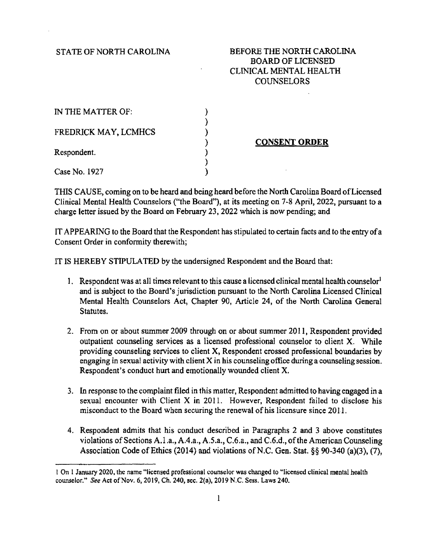STATE OF NORTH CAROLINA

## BEFORE THE NORTH CAROLINA BOARD OF LICENSED CLINICAL MENTAL HEALTH COUNSELORS

| IN THE MATTER OF:    |  |
|----------------------|--|
| FREDRICK MAY, LCMHCS |  |
| Respondent.          |  |
| Case No. 1927        |  |

CONSENT ORDER

THIS CAUSE, coming on to be heard and being heard before the North Carolina Board of Licensed Clinical Mental Health Counselors ("the Board"), at its meeting on 7-8 April, 2022, pursuant to a charge letter issued by the Board on February 23, 2022 which is now pending; and

IT APPEARING to the Board that the Respondent has stipulated to certain facts and to the entry of a Consent Order in conformity therewith;

IT IS HEREBY STIPULATED by the undersigned Respondent and the Board that:

- 1. Respondent was at all times relevant to this cause a licensed clinical mental health counselor<sup>1</sup> and is subject to the Board's jurisdiction pursuant to the North Carolina Licensed Clinical Mental Health Counselors Act, Chapter 90, Article 24, of the North Carolina General Statutes.
- 2. From on or about summer 2009 through on or about summer 2011, Respondent provided outpatient counseling services as a licensed professional counselor to client X. While providing counseling services to client X, Respondent crossed professional boundaries by engaging in sexual activity with client  $X$  in his counseling office during a counseling session. Respondent's conduct hurt and emotionally wounded client X.
- 3. In response to the complaint filed in this matter, Respondent admitted to having engaged in a sexual encounter with Client X in 2011. However, Respondent failed to disclose his misconduct to the Board when securing the renewal of his licensure since 20I 1.
- 4. Respondent admits that his conduct described in Paragraphs 2 and 3 above constitutes violations of Sections A.1.a., A.4.a., A.S.a., C.6.a., and C.6.d., of the American Counseling Association Code of Ethics (2014) and violations of N.C. Gen. Stat. §§ 90-340 (a)(3), (7),

I On 1 January 2020, the name "licensed professional counselor was changed to "licensed clinical mental health counselor." See Act of Nov. 6, 2019, Ch. 240, sec. 2(a), 2014 N.C. Sess. Laws 240.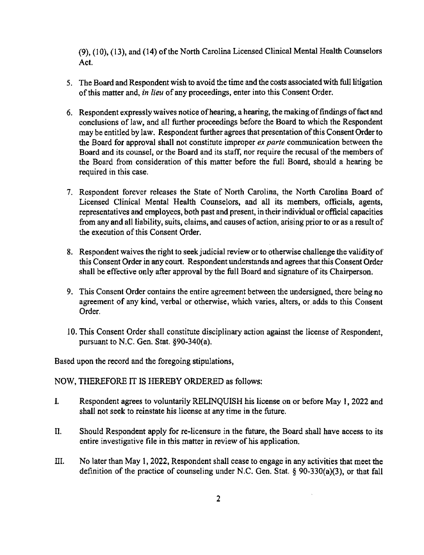{9), (10), { 13), and {14) of the North Carolina Licensed Clinical Mental Health Counselors Act.

- 5. The Board and Respondent wish to avoid the time and the costs associated with full litigation of this matter and, in lieu of any proceedings, enter into this Consent Order.
- 6. Respondent expressly waives notice of hearing, a hearing, the making.of findings of fact and conclusions of law, and all further proceedings before the Board to which the Respondent may be entitled by law. Respondent further agrees that presentation of this Consent Order to the Board for approval shall not constitute improper ex parte communication between the Board and its counsel, or the Board and its staff, nor require the recusal of the members of the Board from consideration of this matter before the full Board, should a hearing be required in this case.
- 7. Respondent forever releases the State of North Carolina, the North Carolina Board of Licensed Clinical Mental Health Counselors, and all its members, officials, agents, representatives and employees, both past and present, in their individual or official capacities from any and all liability, suits, claims, and causes of action, arising prior to or as a result of the execution of this Consent Order.
- 8. Respondent waives the right to seek judicial review or to otherwise challenge the validity of this Consent Order in any court. Respondent understands and agrees that this Consent Order shall be effective only after approval by the full Board and signature of its Chairperson.
- 9. This Consent Order contains the entire agreement between the undersigned, there being no agreement of any kind, verbal or otherwise, which varies, alters, or, adds to this Consent Order.
- 10. This Consent Order shall constitute disciplinary action against the license of Respondent, pursuant to N.C. Gen. Stat. §90-340(a).

Based upon the record and the foregoing stipulations,

NOW, THEREFORE IT IS HEREBY ORDERED as follows:

- I. Respondent agrees to voluntarily RELINQUISH his license on or before May 1, 2022 and shall not seek to reinstate his license at any time in the future.
- II. Should Respondent apply for re-licensure in the future, the Board shall have access to its entire investigative file in this matter in review of his application.
- III. No later than May 1, 2022, Respondent shall cease to engage in any activities that meet the definition of the practice of counseling under N.C. Gen. Star. § 90-330(a)(3), or that fall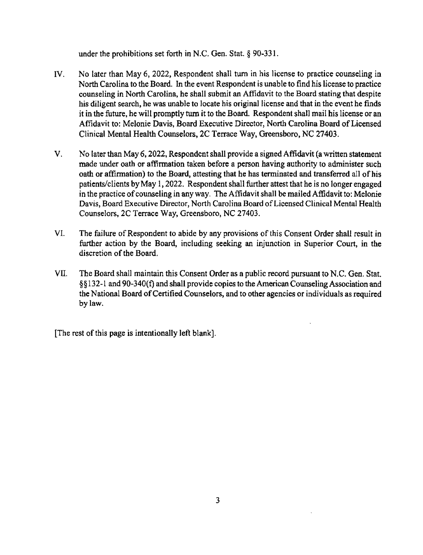under the prohibitions set forth in N.C. Gen. Stat. § 90-331.

- $IV.$  No later than May 6, 2022, Respondent shall turn in his license to practice counseling in North Carolina to the Board. In the event Respondent is unable to find his license to practice counseling in North Carolina, he shall submit an Affidavit to the Board stating that despite his diligent search, he was unable to Iocate his original license and that in the event he finds it in the future, he will promptly turn it to the Board. Respondent shall mail his license or an Affidavit to: Melonie Davis, Board Executive Director, North Carolina Board of Licensed Clinical Mental Health Counselors, 2C Terrace Way, Greensboro, NC 27403.
- V. No later than May 6, 2022, Respondent shall provide a signed Affidavit (a written statement made under oath or affirmation taken before a person having authority to administer such oath or affirmation) to the Board, attesting that he has terminated and transferred all of his patients/clients by May 1, 2022. Respondent shall further attest that he is no longer engaged in the practice of counseling in any way. The Affidavit shall be mailed Affidavit to: Melonie Davis, Board Executive Director, North Carolina Board of Licensed Clinical Mental Health Counselors, 2C Terrace Way, Greensboro, NC 27403.
- VI. The failwe of Respondent to abide by any provisions of this Consent Order shall result in further action by the Board, including seeking an injunction in Superior Court, in the discretion of the Board.
- VII. The Board shall maintain this Consent Order as a public record pursuant to N.C. Gen. Stat. § § 132-1 and 90-340(f) and shall provide copies to the American Counseling Association and the National Boazd of Certified Counselors, and to other agencies or individuals as required bylaw.

[The rest of this page is intentionally left blank].